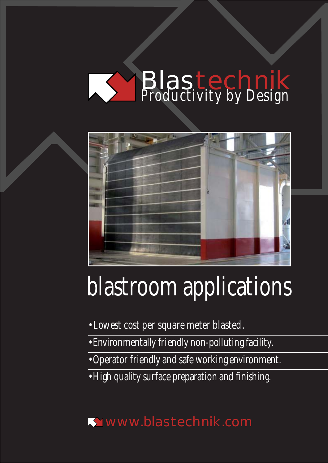# Blastechnik *Productivity by Design*



# *blastroom applications*

- *Lowest cost per square meter blasted.*
- *Environmentally friendly non-polluting facility.*
- *Operator friendly and safe working environment.*
- *High quality surface preparation and finishing.*

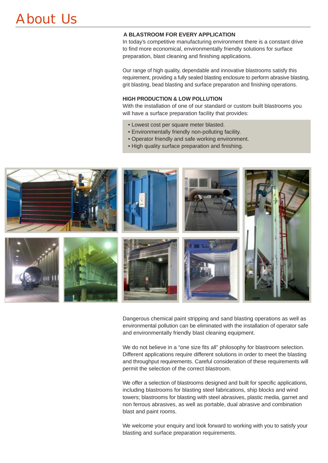#### **A BLASTROOM FOR EVERY APPLICATION**

In today's competitive manufacturing environment there is a constant drive to find more economical, environmentally friendly solutions for surface preparation, blast cleaning and finishing applications.

Our range of high quality, dependable and innovative blastrooms satisfy this requirement, providing a fully sealed blasting enclosure to perform abrasive blasting, grit blasting, bead blasting and surface preparation and finishing operations.

#### **HIGH PRODUCTION & LOW POLLUTION**

With the installation of one of our standard or custom built blastrooms you will have a surface preparation facility that provides:

- Lowest cost per square meter blasted.
- Environmentally friendly non-polluting facility.
- Operator friendly and safe working environment.
- High quality surface preparation and finishing.



Dangerous chemical paint stripping and sand blasting operations as well as environmental pollution can be eliminated with the installation of operator safe and environmentally friendly blast cleaning equipment.

We do not believe in a "one size fits all" philosophy for blastroom selection. Different applications require different solutions in order to meet the blasting and throughput requirements. Careful consideration of these requirements will permit the selection of the correct blastroom.

We offer a selection of blastrooms designed and built for specific applications, including blastrooms for blasting steel fabrications, ship blocks and wind towers; blastrooms for blasting with steel abrasives, plastic media, garnet and non ferrous abrasives, as well as portable, dual abrasive and combination blast and paint rooms.

We welcome your enquiry and look forward to working with you to satisfy your blasting and surface preparation requirements.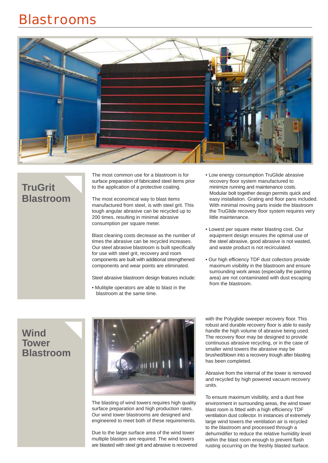

## **TruGrit Blastroom**

The most common use for a blastroom is for surface preparation of fabricated steel items prior to the application of a protective coating.

The most economical way to blast items manufactured from steel, is with steel grit. This tough angular abrasive can be recycled up to 200 times, resulting in minimal abrasive consumption per square meter.

Blast cleaning costs decrease as the number of times the abrasive can be recycled increases. Our steel abrasive blastroom is built specifically for use with steel grit, recovery and room components are built with additional strengthened components and wear points are eliminated.

Steel abrasive blastroom design features include:

• Mulitiple operators are able to blast in the blastroom at the same time.

- Low energy consumption TruGlide abrasive recovery floor system manufactured to minimize running and maintenance costs. Modular bolt together design permits quick and easy installation. Grating and floor pans included. With minimal moving parts inside the blastroom the TruGlide recovery floor system requires very little maintenance.
- Lowest per square meter blasting cost. Our equipment design ensures the optimal use of the steel abrasive, good abrasive is not wasted, and waste product is not recirculated.
- Our high efficiency TDF dust collectors provide maximum visibility in the blastroom and ensure surrounding work areas (especially the painting area) are not contaminated with dust escaping from the blastroom.

#### **Wind Tower Blastroom**



The blasting of wind towers requires high quality surface preparation and high production rates. Our wind tower blastrooms are designed and engineered to meet both of these requirements.

Due to the large surface area of the wind tower multiple blasters are required. The wind towers are blasted with steel grit and abrasive is recovered with the Polyglide sweeper recovery floor. This robust and durable recovery floor is able to easily handle the high volume of abrasive being used. The recovery floor may be designed to provide continuous abrasive recycling, or in the case of smaller wind towers the abrasive may be brushed/blown into a recovery trough after blasting has been completed.

Abrasive from the internal of the tower is removed and recycled by high powered vacuum recovery units.

To ensure maximum visibility, and a dust free environment in surrounding areas, the wind tower blast room is fitted with a high efficiency TDF ventilation dust collector. In instances of extremely large wind towers the ventilation air is recycled to the blastroom and processed through a dehumidifier to reduce the relative humidity level within the blast room enough to prevent flash rusting occurring on the freshly blasted surface.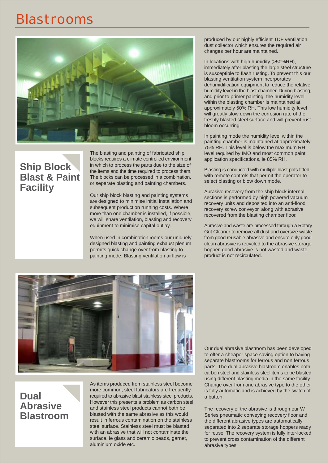

### **Ship Block Blast & Paint Facility**

The blasting and painting of fabricated ship blocks requires a climate controlled environment in which to process the parts due to the size of the items and the time required to process them. The blocks can be processed in a combination, or separate blasting and painting chambers.

Our ship block blasting and painting systems are designed to minimise initial installation and subsequent production running costs. Where more than one chamber is installed, if possible, we will share ventilation, blasting and recovery equipment to minimise capital outlay.

When used in combination rooms our uniquely designed blasting and painting exhaust plenum permits quick change over from blasting to painting mode. Blasting ventilation airflow is

produced by our highly efficient TDF ventilation dust collector which ensures the required air changes per hour are maintained.

In locations with high humidity (>50%RH), immediately after blasting the large steel structure is susceptible to flash rusting. To prevent this our blasting ventilation system incorporates dehumidification equipment to reduce the relative humidity level in the blast chamber. During blasting, and prior to primer painting, the humidity level within the blasting chamber is maintained at approximately 50% RH. This low humidity level will greatly slow down the corrosion rate of the freshly blasted steel surface and will prevent rust bloom occurring.

In painting mode the humidity level within the painting chamber is maintained at approximately 75% RH. This level is below the maximum RH level required by IMO and most common paint application specifications, ie 85% RH.

Blasting is conducted with multiple blast pots fitted with remote controls that permit the operator to select blasting or blow down mode.

Abrasive recovery from the ship block internal sections is performed by high powered vacuum recovery units and deposited into an anti-flood recovery screw conveyor, along with abrasive recovered from the blasting chamber floor.

Abrasive and waste are processed through a Rotary Grit Cleaner to remove all dust and oversize waste from good reusable abrasive and ensure only good clean abrasive is recycled to the abrasive storage hopper, good abrasive is not wasted and waste product is not recirculated.



#### **Dual Abrasive Blastroom**

As items produced from stainless steel become more common, steel fabricators are frequently required to abrasive blast stainless steel products. However this presents a problem as carbon steel and stainless steel products cannot both be blasted with the same abrasive as this would result in ferrous contamination on the stainless steel surface. Stainless steel must be blasted with an abrasive that will not contaminate the surface, ie glass and ceramic beads, garnet, aluminium oxide etc.

Our dual abrasive blastroom has been developed to offer a cheaper space saving option to having separate blastrooms for ferrous and non ferrous parts. The dual abrasive blastroom enables both carbon steel and stainless steel items to be blasted using different blasting media in the same facility. Change over from one abrasive type to the other is fully automatic and is achieved by the switch of a button.

The recovery of the abrasive is through our W Series pneumatic conveying recovery floor and the different abrasive types are automatically separated into 2 separate storage hoppers ready for reuse. The recovery system is fully inter-locked to prevent cross contamination of the different abrasive types.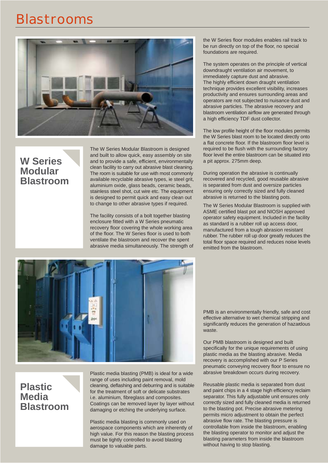

#### **W Series Modular Blastroom**

The W Series Modular Blastroom is designed and built to allow quick, easy assembly on site and to provide a safe, efficient, environmentally clean facility to carry out abrasive blast cleaning. The room is suitable for use with most commonly available recyclable abrasive types, ie steel grit, aluminium oxide, glass beads, ceramic beads, stainless steel shot, cut wire etc. The equipment is designed to permit quick and easy clean out to change to other abrasive types if required.

The facility consists of a bolt together blasting enclosure fitted with a W Series pneumatic recovery floor covering the whole working area of the floor. The W Series floor is used to both ventilate the blastroom and recover the spent abrasive media simultaneously. The strength of the W Series floor modules enables rail track to be run directly on top of the floor, no special foundations are required.

The system operates on the principle of vertical downdraught ventilation air movement, to immediately capture dust and abrasive. The highly efficient down draught ventilation technique provides excellent visibility, increases productivity and ensures surrounding areas and operators are not subjected to nuisance dust and abrasive particles. The abrasive recovery and blastroom ventilation airflow are generated through a high efficiency TDF dust collector.

The low profile height of the floor modules permits the W Series blast room to be located directly onto a flat concrete floor. If the blastroom floor level is required to be flush with the surrounding factory floor level the entire blastroom can be situated into a pit approx. 275mm deep.

During operation the abrasive is continually recovered and recycled, good reusable abrasive is separated from dust and oversize particles ensuring only correctly sized and fully cleaned abrasive is returned to the blasting pots.

The W Series Modular Blastroom is supplied with ASME certified blast pot and NIOSH approved operator safety equipment. Included in the facility as standard is a rubber roll up access door, manufactured from a tough abrasion resistant rubber. The rubber roll up door greatly reduces the total floor space required and reduces noise levels emitted from the blastroom.



**Plastic Media Blastroom** Plastic media blasting (PMB) is ideal for a wide range of uses including paint removal, mold cleaning, deflashing and deburring and is suitable for the treatment of soft or delicate substrates i.e. aluminium, fibreglass and composites. Coatings can be removed layer by layer without damaging or etching the underlying surface.

Plastic media blasting is commonly used on aerospace components which are inherently of high value. For this reason the blasting process must be tightly controlled to avoid blasting damage to valuable parts.

PMB is an environmentally friendly, safe and cost effective alternative to wet chemical stripping and significantly reduces the generation of hazardous waste.

Our PMB blastroom is designed and built specifically for the unique requirements of using plastic media as the blasting abrasive. Media recovery is accomplished with our P Series pneumatic conveying recovery floor to ensure no abrasive breakdown occurs during recovery.

Reusable plastic media is separated from dust and paint chips in a 4 stage high efficiency reclaim separator. This fully adjustable unit ensures only correctly sized and fully cleaned media is returned to the blasting pot. Precise abrasive metering permits micro adjustment to obtain the perfect abrasive flow rate. The blasting pressure is controllable from inside the blastroom, enabling the blasting operator to monitor and adjust the blasting parameters from inside the blastroom without having to stop blasting.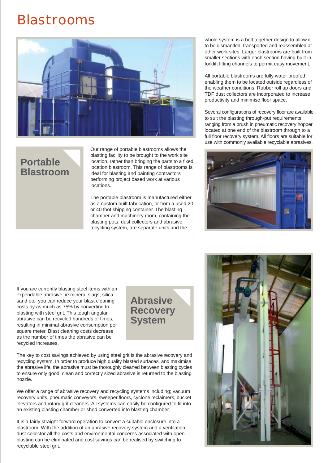

#### **Portable Blastroom**

Our range of portable blastrooms allows the blasting facility to be brought to the work site location, rather than bringing the parts to a fixed location blastroom. This range of blastrooms is ideal for blasting and painting contractors performing project based work at various locations.

The portable blastroom is manufactured either as a custom built fabrication, or from a used 20 or 40 foot shipping container. The blasting chamber and machinery room, containing the blasting pots, dust collectors and abrasive recycling system, are separate units and the

whole system is a bolt together design to allow it to be dismantled, transported and reassembled at other work sites. Larger blastrooms are built from smaller sections with each section having built in forklift lifting channels to permit easy movement.

All portable blastrooms are fully water proofed enabling them to be located outside regardless of the weather conditions. Rubber roll up doors and TDF dust collectors are incorporated to increase productivity and minimise floor space.

Several configurations of recovery floor are available to suit the blasting through-put requirements, ranging from a brush in pneumatic recovery hopper located at one end of the blastroom through to a full floor recovery system. All floors are suitable for use with commonly available recyclable abrasives.



If you are currently blasting steel items with an expendable abrasive, ie mineral slags, silica sand etc, you can reduce your blast cleaning costs by as much as 75% by converting to blasting with steel grit. This tough angular abrasive can be recycled hundreds of times, resulting in minimal abrasive consumption per square meter. Blast cleaning costs decrease as the number of times the abrasive can be recycled increases.

**Abrasive Recovery System**

The key to cost savings achieved by using steel grit is the abrasive recovery and recycling system. In order to produce high quality blasted surfaces, and maximise the abrasive life, the abrasive must be thoroughly cleaned between blasting cycles to ensure only good, clean and correctly sized abrasive is returned to the blasting nozzle.

We offer a range of abrasive recovery and recycling systems including; vacuum recovery units, pneumatic conveyors, sweeper floors, cyclone reclaimers, bucket elevators and rotary grit cleaners. All systems can easily be configured to fit into an existing blasting chamber or shed converted into blasting chamber.

It is a fairly straight forward operation to convert a suitable enclosure into a blastroom. With the addition of an abrasive recovery system and a ventilation dust collector all the costs and environmental concerns associated with open blasting can be eliminated and cost savings can be realised by switching to recyclable steel grit.

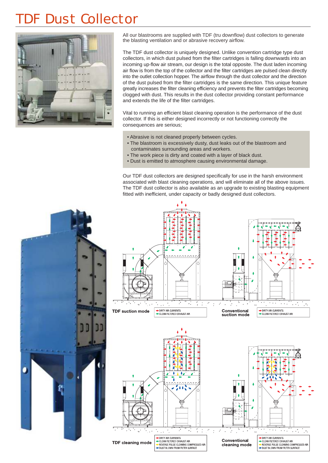## **DE Dust Collector**



All our blastrooms are supplied with TDF (tru downflow) dust collectors to generate the blasting ventilation and or abrasive recovery airflow.

The TDF dust collector is uniquely designed. Unlike convention cartridge type dust collectors, in which dust pulsed from the filter cartridges is falling downwards into an incoming up-flow air stream, our design is the total opposite. The dust laden incoming air flow is from the top of the collector and the filter cartridges are pulsed clean directly into the outlet collection hopper. The airflow through the dust collector and the direction of the dust pulsed from the filter cartridges is the same direction. This unique feature greatly increases the filter cleaning efficiency and prevents the filter cartridges becoming clogged with dust. This results in the dust collector providing constant performance and extends the life of the filter cartridges.

Vital to running an efficient blast cleaning operation is the performance of the dust collector. If this is either designed incorrectly or not functioning correctly the consequences are serious;

- Abrasive is not cleaned properly between cycles.
- The blastroom is excessively dusty, dust leaks out of the blastroom and contaminates surrounding areas and workers.
- The work piece is dirty and coated with a layer of black dust.
- Dust is emitted to atmosphere causing environmental damage.

Our TDF dust collectors are designed specifically for use in the harsh environment associated with blast cleaning operations, and will eliminate all of the above issues. The TDF dust collector is also available as an upgrade to existing blasting equipment fitted with inefficient, under capacity or badly designed dust collectors.